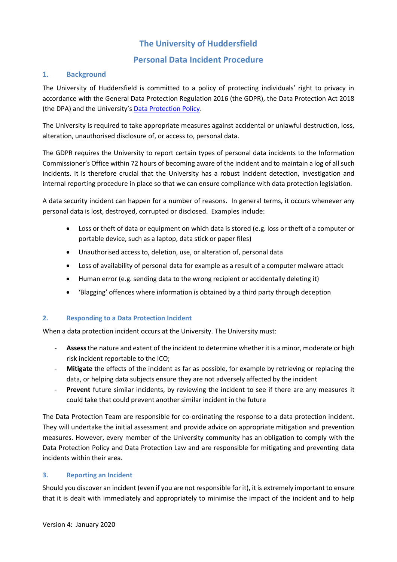# **The University of Huddersfield**

# **Personal Data Incident Procedure**

#### **1. Background**

The University of Huddersfield is committed to a policy of protecting individuals' right to privacy in accordance with the General Data Protection Regulation 2016 (the GDPR), the Data Protection Act 2018 (the DPA) and the University's [Data Protection Policy.](https://www.hud.ac.uk/media/policydocuments/Data-Protection-Policy.pdf)

The University is required to take appropriate measures against accidental or unlawful destruction, loss, alteration, unauthorised disclosure of, or access to, personal data.

The GDPR requires the University to report certain types of personal data incidents to the Information Commissioner's Office within 72 hours of becoming aware of the incident and to maintain a log of all such incidents. It is therefore crucial that the University has a robust incident detection, investigation and internal reporting procedure in place so that we can ensure compliance with data protection legislation.

A data security incident can happen for a number of reasons. In general terms, it occurs whenever any personal data is lost, destroyed, corrupted or disclosed. Examples include:

- Loss or theft of data or equipment on which data is stored (e.g. loss or theft of a computer or portable device, such as a laptop, data stick or paper files)
- Unauthorised access to, deletion, use, or alteration of, personal data
- Loss of availability of personal data for example as a result of a computer malware attack
- Human error (e.g. sending data to the wrong recipient or accidentally deleting it)
- 'Blagging' offences where information is obtained by a third party through deception

#### **2. Responding to a Data Protection Incident**

When a data protection incident occurs at the University. The University must:

- Assess the nature and extent of the incident to determine whether it is a minor, moderate or high risk incident reportable to the ICO;
- **Mitigate** the effects of the incident as far as possible, for example by retrieving or replacing the data, or helping data subjects ensure they are not adversely affected by the incident
- Prevent future similar incidents, by reviewing the incident to see if there are any measures it could take that could prevent another similar incident in the future

The Data Protection Team are responsible for co-ordinating the response to a data protection incident. They will undertake the initial assessment and provide advice on appropriate mitigation and prevention measures. However, every member of the University community has an obligation to comply with the Data Protection Policy and Data Protection Law and are responsible for mitigating and preventing data incidents within their area.

#### **3. Reporting an Incident**

Should you discover an incident (even if you are not responsible for it), it is extremely important to ensure that it is dealt with immediately and appropriately to minimise the impact of the incident and to help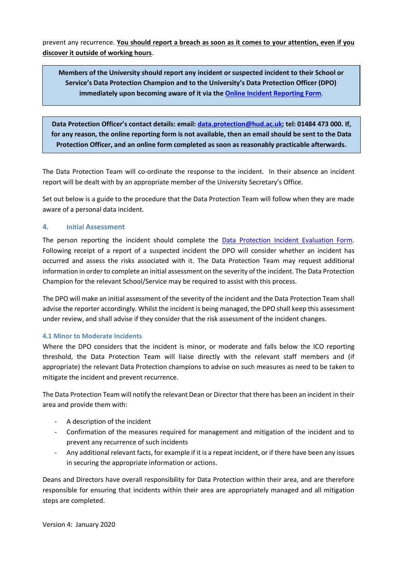prevent any recurrence. **You should report a breach as soon as it comes to your attention, even if you discover it outside of working hours**.

**Members of the University should report any incident or suspected incident to their School or Service's Data Protection Champion and to the University's Data Protection Officer (DPO) immediately upon becoming aware of it via the [Online Incident](https://unishare.hud.ac.uk/lcm/dp/Lists/Data%20Breach%20Reporting/NewForm.aspx?Source=https%3A%2F%2Funishare%2Ehud%2Eac%2Euk%2Flcm%2Fdp%2FLists%2FData%2520Breach%2520Reporting%2FAllItems%2Easpx&RootFolder=) Reporting Form**.

**Data Protection Officer's contact details: email: [data.protection@hud.ac.uk;](mailto:data.protection@hud.ac.uk) tel: 01484 473 000. If, for any reason, the online reporting form is not available, then an email should be sent to the Data Protection Officer, and an online form completed as soon as reasonably practicable afterwards.**

The Data Protection Team will co-ordinate the response to the incident. In their absence an incident report will be dealt with by an appropriate member of the University Secretary's Office.

Set out below is a guide to the procedure that the Data Protection Team will follow when they are made aware of a personal data incident.

#### **4. Initial Assessment**

The person reporting the incident should complete the [Data Protection Incident](https://unishare.hud.ac.uk/lcm/dp/Lists/Data%20Breach%20Reporting/NewForm.aspx?Source=https%3A%2F%2Funishare%2Ehud%2Eac%2Euk%2Flcm%2Fdp%2FLists%2FData%2520Breach%2520Reporting%2FAllItems%2Easpx&RootFolder=) Evaluation Form. Following receipt of a report of a suspected incident the DPO will consider whether an incident has occurred and assess the risks associated with it. The Data Protection Team may request additional information in order to complete an initial assessment on the severity of the incident. The Data Protection Champion for the relevant School/Service may be required to assist with this process.

The DPO will make an initial assessment of the severity of the incident and the Data Protection Team shall advise the reporter accordingly. Whilst the incident is being managed, the DPO shall keep this assessment under review, and shall advise if they consider that the risk assessment of the incident changes.

#### **4.1 Minor to Moderate Incidents**

Where the DPO considers that the incident is minor, or moderate and falls below the ICO reporting threshold, the Data Protection Team will liaise directly with the relevant staff members and (if appropriate) the relevant Data Protection champions to advise on such measures as need to be taken to mitigate the incident and prevent recurrence.

The Data Protection Team will notify the relevant Dean or Director that there has been an incident in their area and provide them with:

- A description of the incident
- Confirmation of the measures required for management and mitigation of the incident and to prevent any recurrence of such incidents
- Any additional relevant facts, for example if it is a repeat incident, or if there have been any issues in securing the appropriate information or actions.

Deans and Directors have overall responsibility for Data Protection within their area, and are therefore responsible for ensuring that incidents within their area are appropriately managed and all mitigation steps are completed.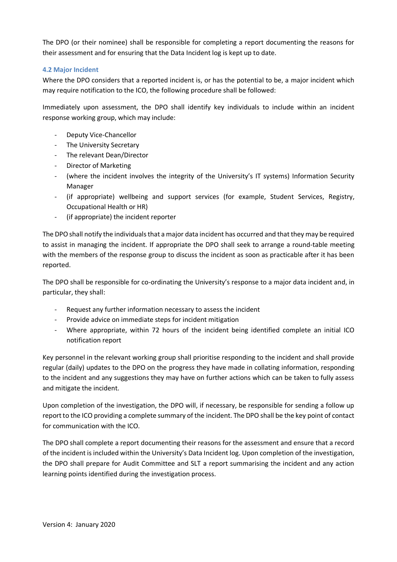The DPO (or their nominee) shall be responsible for completing a report documenting the reasons for their assessment and for ensuring that the Data Incident log is kept up to date.

#### **4.2 Major Incident**

Where the DPO considers that a reported incident is, or has the potential to be, a major incident which may require notification to the ICO, the following procedure shall be followed:

Immediately upon assessment, the DPO shall identify key individuals to include within an incident response working group, which may include:

- Deputy Vice-Chancellor
- The University Secretary
- The relevant Dean/Director
- Director of Marketing
- (where the incident involves the integrity of the University's IT systems) Information Security Manager
- (if appropriate) wellbeing and support services (for example, Student Services, Registry, Occupational Health or HR)
- (if appropriate) the incident reporter

The DPO shall notify the individuals that a major data incident has occurred and that they may be required to assist in managing the incident. If appropriate the DPO shall seek to arrange a round-table meeting with the members of the response group to discuss the incident as soon as practicable after it has been reported.

The DPO shall be responsible for co-ordinating the University's response to a major data incident and, in particular, they shall:

- Request any further information necessary to assess the incident
- Provide advice on immediate steps for incident mitigation
- Where appropriate, within 72 hours of the incident being identified complete an initial ICO notification report

Key personnel in the relevant working group shall prioritise responding to the incident and shall provide regular (daily) updates to the DPO on the progress they have made in collating information, responding to the incident and any suggestions they may have on further actions which can be taken to fully assess and mitigate the incident.

Upon completion of the investigation, the DPO will, if necessary, be responsible for sending a follow up report to the ICO providing a complete summary of the incident. The DPO shall be the key point of contact for communication with the ICO.

The DPO shall complete a report documenting their reasons for the assessment and ensure that a record of the incident is included within the University's Data Incident log. Upon completion of the investigation, the DPO shall prepare for Audit Committee and SLT a report summarising the incident and any action learning points identified during the investigation process.